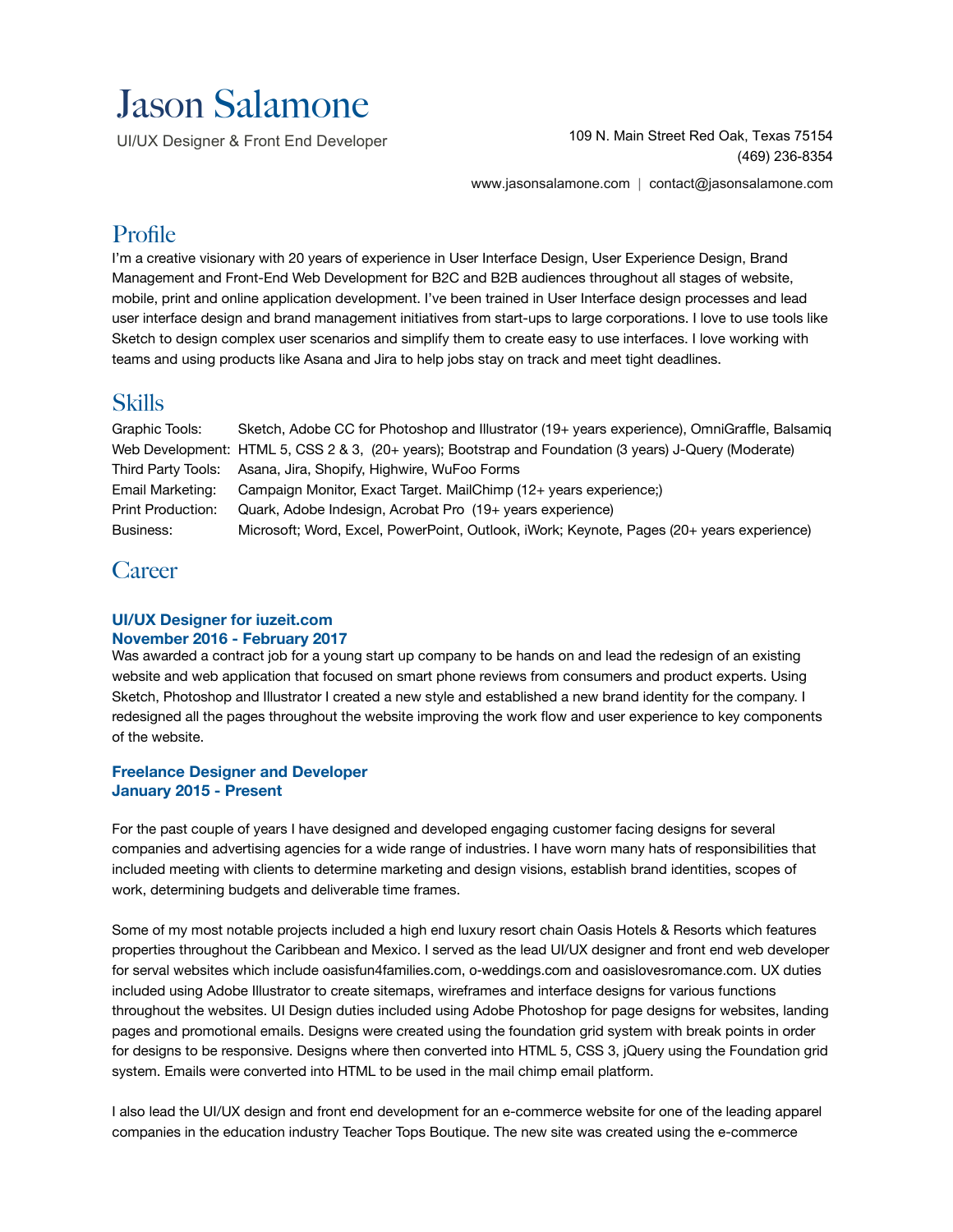# Jason Salamone

UI/UX Designer & Front End Developer

109 N. Main Street Red Oak, Texas 75154 (469) 236-8354

[www.jasonsalamone.com](http://www.jasonsalamone.com) | [contact@jasonsalamone.com](mailto:contact@jasonsalamone.com)

# Profile

I'm a creative visionary with 20 years of experience in User Interface Design, User Experience Design, Brand Management and Front-End Web Development for B2C and B2B audiences throughout all stages of website, mobile, print and online application development. I've been trained in User Interface design processes and lead user interface design and brand management initiatives from start-ups to large corporations. I love to use tools like Sketch to design complex user scenarios and simplify them to create easy to use interfaces. I love working with teams and using products like Asana and Jira to help jobs stay on track and meet tight deadlines.

# Skills

Graphic Tools: Sketch, Adobe CC for Photoshop and Illustrator (19+ years experience), OmniGraffle, Balsamiq Web Development: HTML 5, CSS 2 & 3, (20+ years); Bootstrap and Foundation (3 years) J-Query (Moderate) Third Party Tools: Asana, Jira, Shopify, Highwire, WuFoo Forms Email Marketing: Campaign Monitor, Exact Target. MailChimp (12+ years experience;) Print Production: Quark, Adobe Indesign, Acrobat Pro (19+ years experience) Business: Microsoft; Word, Excel, PowerPoint, Outlook, iWork; Keynote, Pages (20+ years experience)

# **Career**

### **UI/UX Designer for iuzeit.com November 2016 - February 2017**

Was awarded a contract job for a young start up company to be hands on and lead the redesign of an existing website and web application that focused on smart phone reviews from consumers and product experts. Using Sketch, Photoshop and Illustrator I created a new style and established a new brand identity for the company. I redesigned all the pages throughout the website improving the work flow and user experience to key components of the website.

### **Freelance Designer and Developer January 2015 - Present**

For the past couple of years I have designed and developed engaging customer facing designs for several companies and advertising agencies for a wide range of industries. I have worn many hats of responsibilities that included meeting with clients to determine marketing and design visions, establish brand identities, scopes of work, determining budgets and deliverable time frames.

Some of my most notable projects included a high end luxury resort chain Oasis Hotels & Resorts which features properties throughout the Caribbean and Mexico. I served as the lead UI/UX designer and front end web developer for serval websites which include oasisfun4families.com, o-weddings.com and oasislovesromance.com. UX duties included using Adobe Illustrator to create sitemaps, wireframes and interface designs for various functions throughout the websites. UI Design duties included using Adobe Photoshop for page designs for websites, landing pages and promotional emails. Designs were created using the foundation grid system with break points in order for designs to be responsive. Designs where then converted into HTML 5, CSS 3, jQuery using the Foundation grid system. Emails were converted into HTML to be used in the mail chimp email platform.

I also lead the UI/UX design and front end development for an e-commerce website for one of the leading apparel companies in the education industry Teacher Tops Boutique. The new site was created using the e-commerce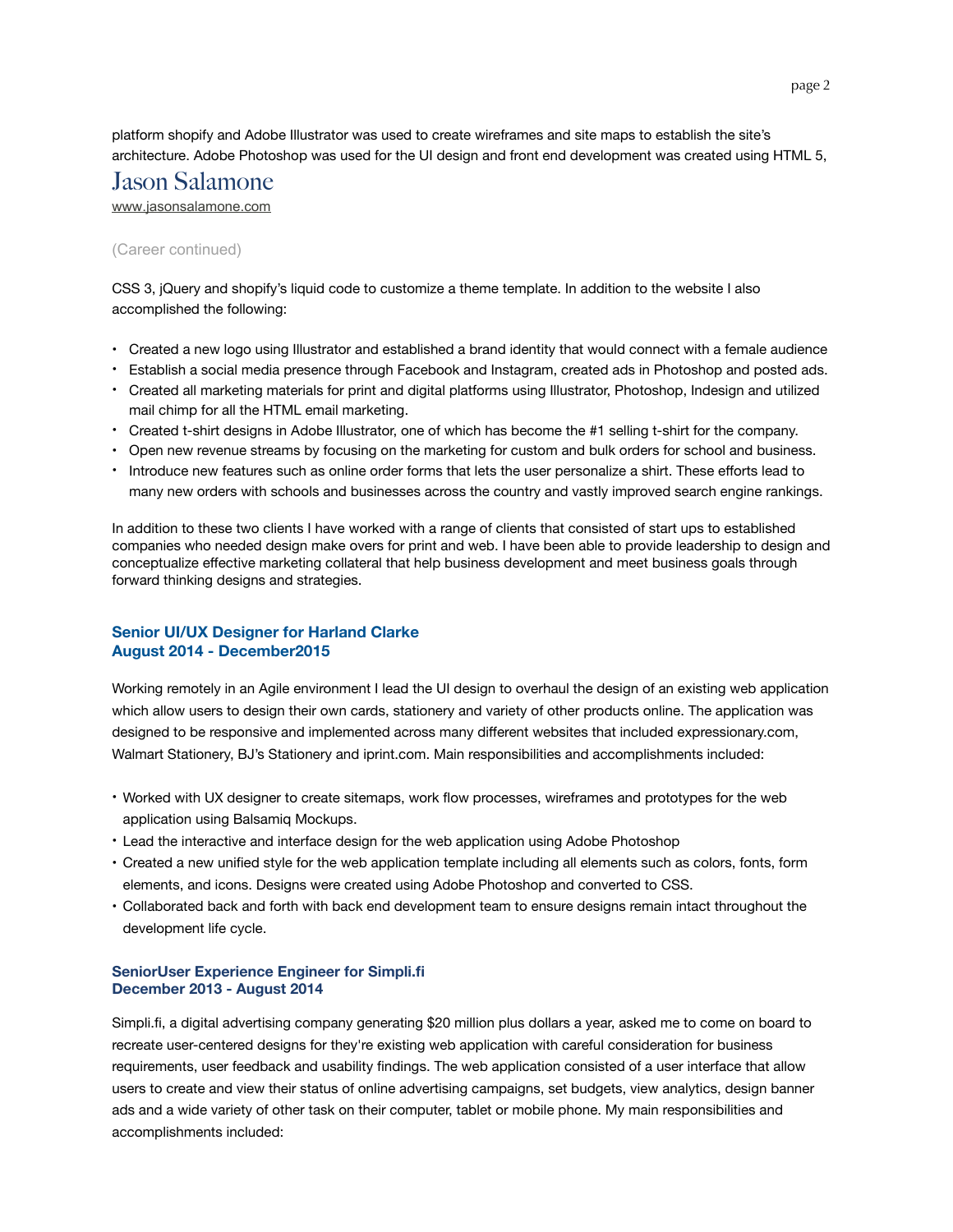platform shopify and Adobe Illustrator was used to create wireframes and site maps to establish the site's architecture. Adobe Photoshop was used for the UI design and front end development was created using HTML 5,

# Jason Salamone

[www.jasonsalamone.com](http://www.jasonsalamone.com)

### (Career continued)

CSS 3, jQuery and shopify's liquid code to customize a theme template. In addition to the website I also accomplished the following:

- Created a new logo using Illustrator and established a brand identity that would connect with a female audience
- Establish a social media presence through Facebook and Instagram, created ads in Photoshop and posted ads.
- Created all marketing materials for print and digital platforms using Illustrator, Photoshop, Indesign and utilized mail chimp for all the HTML email marketing.
- Created t-shirt designs in Adobe Illustrator, one of which has become the #1 selling t-shirt for the company.
- Open new revenue streams by focusing on the marketing for custom and bulk orders for school and business.
- Introduce new features such as online order forms that lets the user personalize a shirt. These efforts lead to many new orders with schools and businesses across the country and vastly improved search engine rankings.

In addition to these two clients I have worked with a range of clients that consisted of start ups to established companies who needed design make overs for print and web. I have been able to provide leadership to design and conceptualize effective marketing collateral that help business development and meet business goals through forward thinking designs and strategies.

### **Senior UI/UX Designer for Harland Clarke August 2014 - December2015**

Working remotely in an Agile environment I lead the UI design to overhaul the design of an existing web application which allow users to design their own cards, stationery and variety of other products online. The application was designed to be responsive and implemented across many different websites that included expressionary.com, Walmart Stationery, BJ's Stationery and iprint.com. Main responsibilities and accomplishments included:

- Worked with UX designer to create sitemaps, work flow processes, wireframes and prototypes for the web application using Balsamiq Mockups.
- Lead the interactive and interface design for the web application using Adobe Photoshop
- Created a new unified style for the web application template including all elements such as colors, fonts, form elements, and icons. Designs were created using Adobe Photoshop and converted to CSS.
- Collaborated back and forth with back end development team to ensure designs remain intact throughout the development life cycle.

#### **SeniorUser Experience Engineer for Simpli.fi December 2013 - August 2014**

Simpli.fi, a digital advertising company generating \$20 million plus dollars a year, asked me to come on board to recreate user-centered designs for they're existing web application with careful consideration for business requirements, user feedback and usability findings. The web application consisted of a user interface that allow users to create and view their status of online advertising campaigns, set budgets, view analytics, design banner ads and a wide variety of other task on their computer, tablet or mobile phone. My main responsibilities and accomplishments included: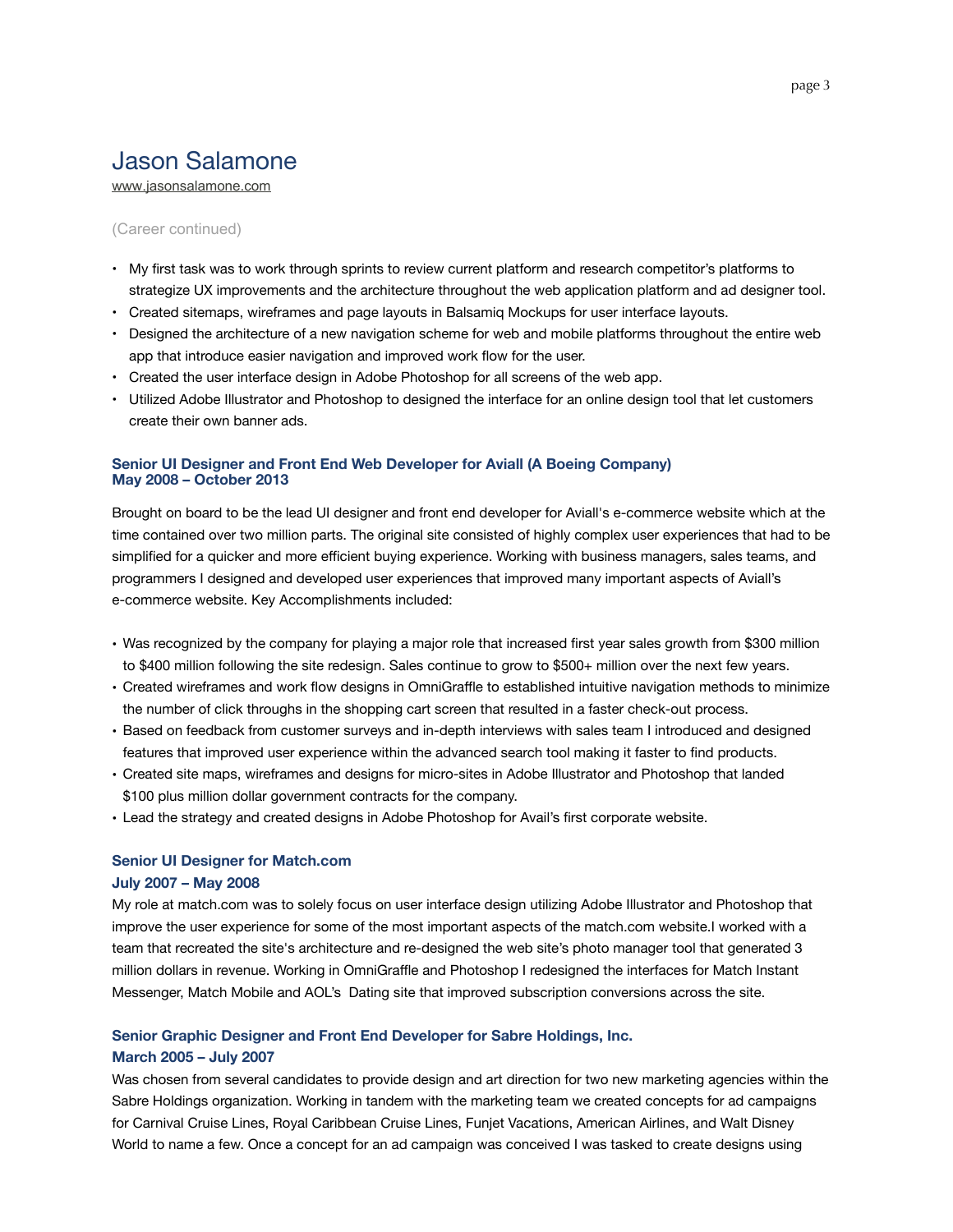# Jason Salamone

[www.jasonsalamone.com](http://www.jasonsalamone.com)

#### (Career continued)

- My first task was to work through sprints to review current platform and research competitor's platforms to strategize UX improvements and the architecture throughout the web application platform and ad designer tool.
- Created sitemaps, wireframes and page layouts in Balsamiq Mockups for user interface layouts.
- Designed the architecture of a new navigation scheme for web and mobile platforms throughout the entire web app that introduce easier navigation and improved work flow for the user.
- Created the user interface design in Adobe Photoshop for all screens of the web app.
- Utilized Adobe Illustrator and Photoshop to designed the interface for an online design tool that let customers create their own banner ads.

#### **Senior UI Designer and Front End Web Developer for Aviall (A Boeing Company) May 2008 – October 2013**

Brought on board to be the lead UI designer and front end developer for Aviall's e-commerce website which at the time contained over two million parts. The original site consisted of highly complex user experiences that had to be simplified for a quicker and more efficient buying experience. Working with business managers, sales teams, and programmers I designed and developed user experiences that improved many important aspects of Aviall's e-commerce website. Key Accomplishments included:

- Was recognized by the company for playing a major role that increased first year sales growth from \$300 million to \$400 million following the site redesign. Sales continue to grow to \$500+ million over the next few years.
- Created wireframes and work flow designs in OmniGraffle to established intuitive navigation methods to minimize the number of click throughs in the shopping cart screen that resulted in a faster check-out process.
- Based on feedback from customer surveys and in-depth interviews with sales team I introduced and designed features that improved user experience within the advanced search tool making it faster to find products.
- Created site maps, wireframes and designs for micro-sites in Adobe Illustrator and Photoshop that landed \$100 plus million dollar government contracts for the company.
- Lead the strategy and created designs in Adobe Photoshop for Avail's first corporate website.

# **Senior UI Designer for Match.com**

### **July 2007 – May 2008**

My role at match.com was to solely focus on user interface design utilizing Adobe Illustrator and Photoshop that improve the user experience for some of the most important aspects of the match.com website.I worked with a team that recreated the site's architecture and re-designed the web site's photo manager tool that generated 3 million dollars in revenue. Working in OmniGraffle and Photoshop I redesigned the interfaces for Match Instant Messenger, Match Mobile and AOL's Dating site that improved subscription conversions across the site.

### **Senior Graphic Designer and Front End Developer for Sabre Holdings, Inc.**

#### **March 2005 – July 2007**

Was chosen from several candidates to provide design and art direction for two new marketing agencies within the Sabre Holdings organization. Working in tandem with the marketing team we created concepts for ad campaigns for Carnival Cruise Lines, Royal Caribbean Cruise Lines, Funjet Vacations, American Airlines, and Walt Disney World to name a few. Once a concept for an ad campaign was conceived I was tasked to create designs using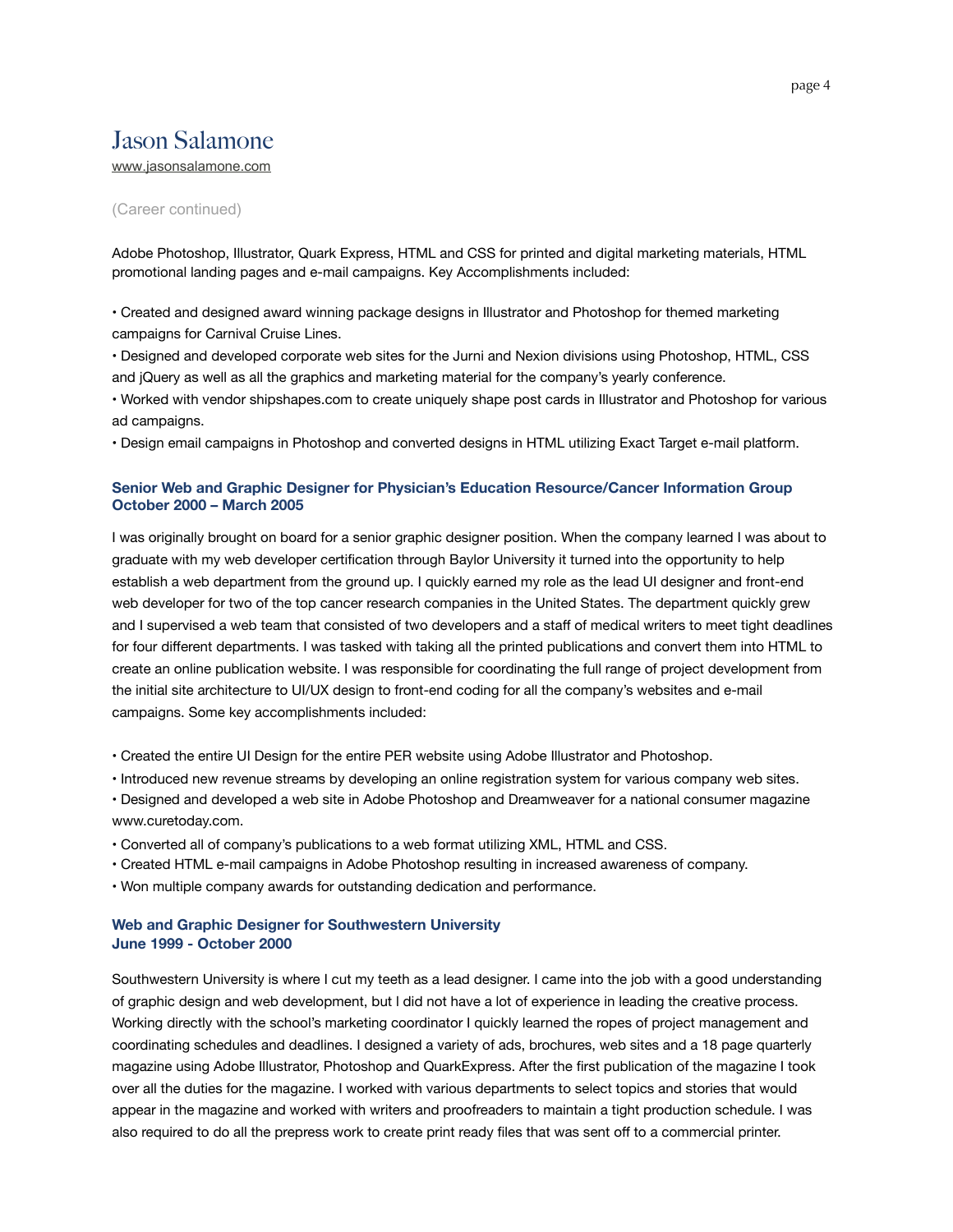# Jason Salamone

[www.jasonsalamone.com](http://www.jasonsalamone.com)

#### (Career continued)

Adobe Photoshop, Illustrator, Quark Express, HTML and CSS for printed and digital marketing materials, HTML promotional landing pages and e-mail campaigns. Key Accomplishments included:

• Created and designed award winning package designs in Illustrator and Photoshop for themed marketing campaigns for Carnival Cruise Lines.

• Designed and developed corporate web sites for the Jurni and Nexion divisions using Photoshop, HTML, CSS and jQuery as well as all the graphics and marketing material for the company's yearly conference.

• Worked with vendor shipshapes.com to create uniquely shape post cards in Illustrator and Photoshop for various ad campaigns.

• Design email campaigns in Photoshop and converted designs in HTML utilizing Exact Target e-mail platform.

#### **Senior Web and Graphic Designer for Physician's Education Resource/Cancer Information Group October 2000 – March 2005**

I was originally brought on board for a senior graphic designer position. When the company learned I was about to graduate with my web developer certification through Baylor University it turned into the opportunity to help establish a web department from the ground up. I quickly earned my role as the lead UI designer and front-end web developer for two of the top cancer research companies in the United States. The department quickly grew and I supervised a web team that consisted of two developers and a staff of medical writers to meet tight deadlines for four different departments. I was tasked with taking all the printed publications and convert them into HTML to create an online publication website. I was responsible for coordinating the full range of project development from the initial site architecture to UI/UX design to front-end coding for all the company's websites and e-mail campaigns. Some key accomplishments included:

• Created the entire UI Design for the entire PER website using Adobe Illustrator and Photoshop.

- Introduced new revenue streams by developing an online registration system for various company web sites.
- Designed and developed a web site in Adobe Photoshop and Dreamweaver for a national consumer magazine www.curetoday.com.
- Converted all of company's publications to a web format utilizing XML, HTML and CSS.
- Created HTML e-mail campaigns in Adobe Photoshop resulting in increased awareness of company.
- Won multiple company awards for outstanding dedication and performance.

#### **Web and Graphic Designer for Southwestern University June 1999 - October 2000**

Southwestern University is where I cut my teeth as a lead designer. I came into the job with a good understanding of graphic design and web development, but l did not have a lot of experience in leading the creative process. Working directly with the school's marketing coordinator I quickly learned the ropes of project management and coordinating schedules and deadlines. I designed a variety of ads, brochures, web sites and a 18 page quarterly magazine using Adobe Illustrator, Photoshop and QuarkExpress. After the first publication of the magazine I took over all the duties for the magazine. I worked with various departments to select topics and stories that would appear in the magazine and worked with writers and proofreaders to maintain a tight production schedule. I was also required to do all the prepress work to create print ready files that was sent off to a commercial printer.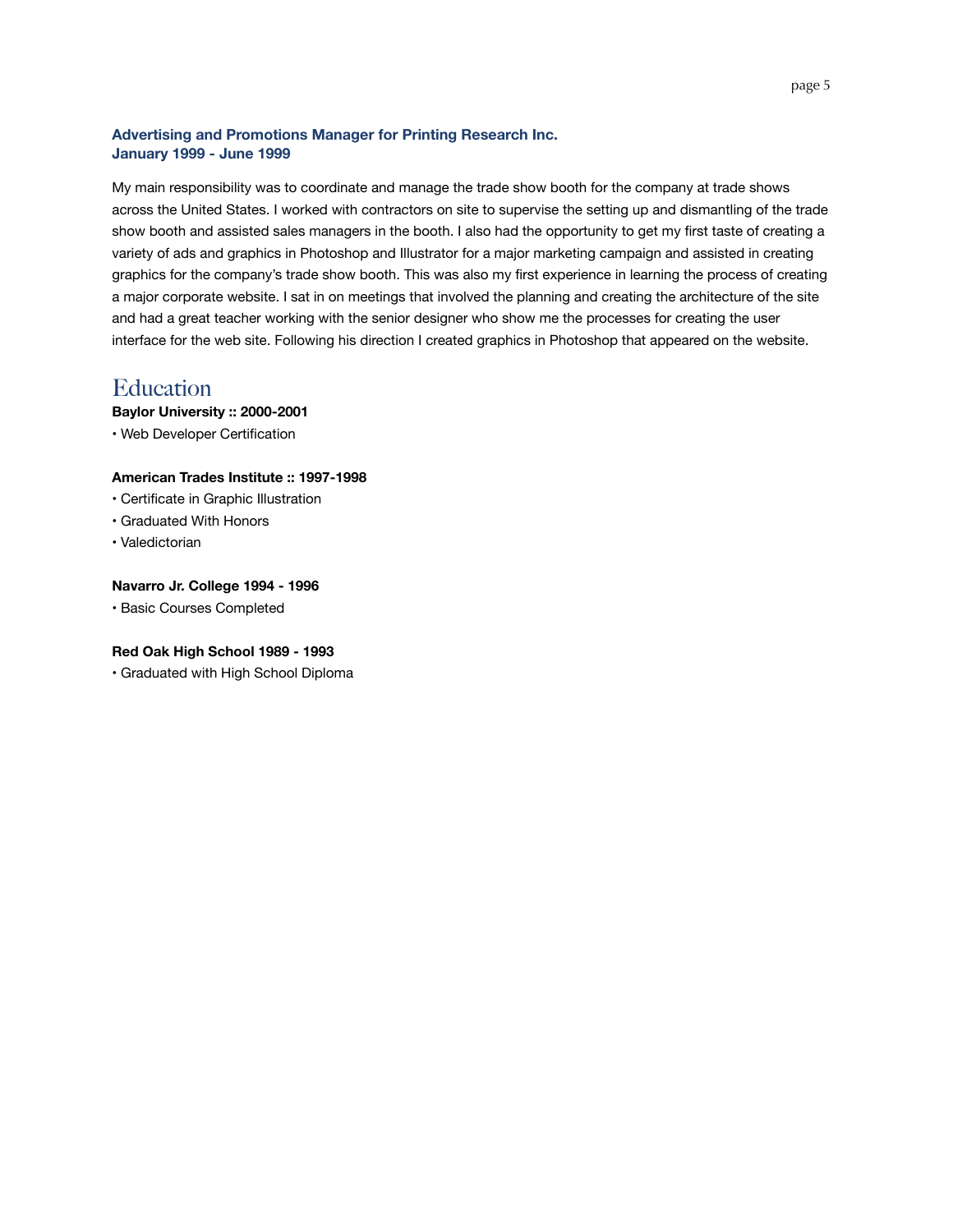### **Advertising and Promotions Manager for Printing Research Inc. January 1999 - June 1999**

My main responsibility was to coordinate and manage the trade show booth for the company at trade shows across the United States. I worked with contractors on site to supervise the setting up and dismantling of the trade show booth and assisted sales managers in the booth. I also had the opportunity to get my first taste of creating a variety of ads and graphics in Photoshop and Illustrator for a major marketing campaign and assisted in creating graphics for the company's trade show booth. This was also my first experience in learning the process of creating a major corporate website. I sat in on meetings that involved the planning and creating the architecture of the site and had a great teacher working with the senior designer who show me the processes for creating the user interface for the web site. Following his direction I created graphics in Photoshop that appeared on the website.

## **Education**

**Baylor University :: 2000-2001**

• Web Developer Certification

### **American Trades Institute :: 1997-1998**

- Certificate in Graphic Illustration
- Graduated With Honors
- Valedictorian

### **Navarro Jr. College 1994 - 1996**

• Basic Courses Completed

#### **Red Oak High School 1989 - 1993**

• Graduated with High School Diploma